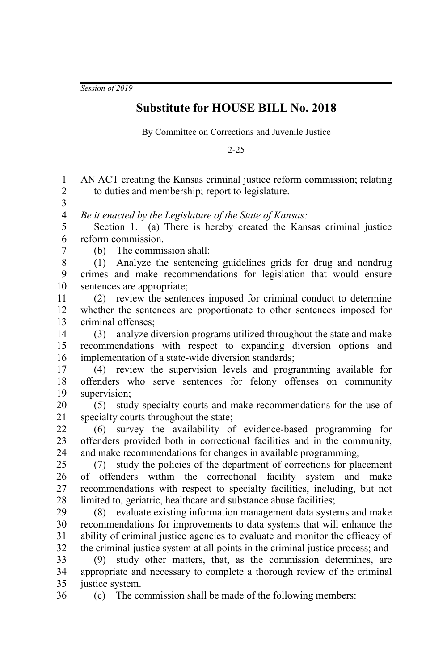*Session of 2019*

## **Substitute for HOUSE BILL No. 2018**

By Committee on Corrections and Juvenile Justice

2-25

AN ACT creating the Kansas criminal justice reform commission; relating to duties and membership; report to legislature. *Be it enacted by the Legislature of the State of Kansas:* Section 1. (a) There is hereby created the Kansas criminal justice reform commission. (b) The commission shall: (1) Analyze the sentencing guidelines grids for drug and nondrug crimes and make recommendations for legislation that would ensure sentences are appropriate; (2) review the sentences imposed for criminal conduct to determine whether the sentences are proportionate to other sentences imposed for criminal offenses; (3) analyze diversion programs utilized throughout the state and make recommendations with respect to expanding diversion options and implementation of a state-wide diversion standards; (4) review the supervision levels and programming available for offenders who serve sentences for felony offenses on community supervision; (5) study specialty courts and make recommendations for the use of specialty courts throughout the state; (6) survey the availability of evidence-based programming for offenders provided both in correctional facilities and in the community, and make recommendations for changes in available programming; (7) study the policies of the department of corrections for placement of offenders within the correctional facility system and make recommendations with respect to specialty facilities, including, but not limited to, geriatric, healthcare and substance abuse facilities; (8) evaluate existing information management data systems and make recommendations for improvements to data systems that will enhance the ability of criminal justice agencies to evaluate and monitor the efficacy of the criminal justice system at all points in the criminal justice process; and (9) study other matters, that, as the commission determines, are appropriate and necessary to complete a thorough review of the criminal justice system. (c) The commission shall be made of the following members: 1 2 3 4 5 6 7 8 9 10 11 12 13 14 15 16 17 18 19 20 21 22  $23$ 24 25 26 27 28 29 30 31 32 33 34 35 36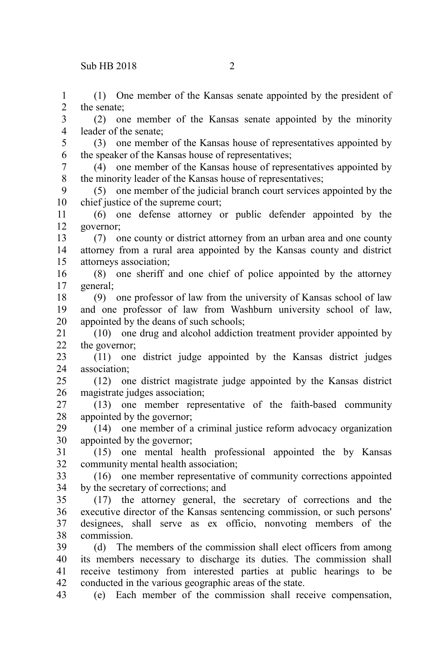the senate;

1 2 3

(1) One member of the Kansas senate appointed by the president of

(2) one member of the Kansas senate appointed by the minority

leader of the senate; (3) one member of the Kansas house of representatives appointed by the speaker of the Kansas house of representatives; (4) one member of the Kansas house of representatives appointed by the minority leader of the Kansas house of representatives; (5) one member of the judicial branch court services appointed by the chief justice of the supreme court; (6) one defense attorney or public defender appointed by the governor; (7) one county or district attorney from an urban area and one county attorney from a rural area appointed by the Kansas county and district attorneys association; (8) one sheriff and one chief of police appointed by the attorney general; (9) one professor of law from the university of Kansas school of law and one professor of law from Washburn university school of law, 4 5 6 7 8 9 10 11 12 13 14 15 16 17 18 19

appointed by the deans of such schools; (10) one drug and alcohol addiction treatment provider appointed by the governor; 20 21 22

(11) one district judge appointed by the Kansas district judges association; 23 24

(12) one district magistrate judge appointed by the Kansas district magistrate judges association; 25 26

(13) one member representative of the faith-based community appointed by the governor; 27 28

(14) one member of a criminal justice reform advocacy organization appointed by the governor; 29 30

(15) one mental health professional appointed the by Kansas community mental health association; 31 32

(16) one member representative of community corrections appointed by the secretary of corrections; and 33 34

(17) the attorney general, the secretary of corrections and the executive director of the Kansas sentencing commission, or such persons' designees, shall serve as ex officio, nonvoting members of the commission. 35 36 37 38

(d) The members of the commission shall elect officers from among its members necessary to discharge its duties. The commission shall receive testimony from interested parties at public hearings to be conducted in the various geographic areas of the state. 39 40 41 42

(e) Each member of the commission shall receive compensation, 43